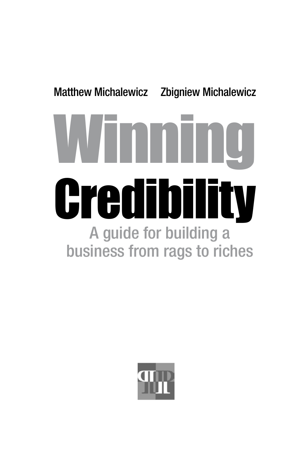# Matthew Michalewicz Zbigniew Michalewicz Winning **Credibility** A guide for building a business from rags to riches

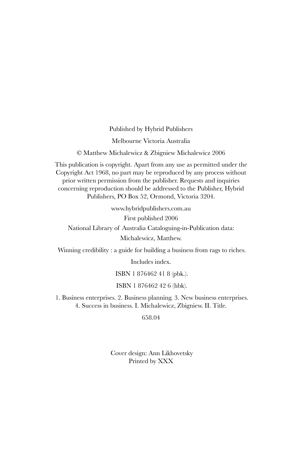Published by Hybrid Publishers

Melbourne Victoria Australia

© Matthew Michalewicz & Zbigniew Michalewicz 2006

This publication is copyright. Apart from any use as permitted under the Copyright Act 1968, no part may be reproduced by any process without prior written permission from the publisher. Requests and inquiries concerning reproduction should be addressed to the Publisher, Hybrid Publishers, PO Box 52, Ormond, Victoria 3204.

> www.hybridpublishers.com.au First published 2006

National Library of Australia Cataloguing-in-Publication data: Michalewicz, Matthew.

Winning credibility : a guide for building a business from rags to riches.

Includes index.

ISBN 1 876462 41 8 (pbk.).

ISBN 1 876462 42 6 (hbk).

 1. Business enterprises. 2. Business planning. 3. New business enterprises. 4. Success in business. I. Michalewicz, Zbigniew. II. Title.

658.04

Cover design: Ann Likhovetsky Printed by XXX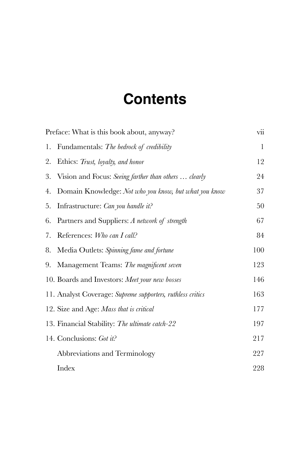# **Contents**

|    | Preface: What is this book about, anyway?                  | vii |
|----|------------------------------------------------------------|-----|
| 1. | Fundamentals: The bedrock of credibility                   | 1   |
| 2. | Ethics: Trust, loyalty, and honor                          | 12  |
| 3. | Vision and Focus: Seeing farther than others  clearly      | 24  |
| 4. | Domain Knowledge: Not who you know, but what you know      | 37  |
| 5. | Infrastructure: Can you handle it?                         | 50  |
| 6. | Partners and Suppliers: A network of strength              | 67  |
| 7. | References: Who can I call?                                | 84  |
| 8. | Media Outlets: Spinning fame and fortune                   | 100 |
| 9. | Management Teams: The magnificent seven                    | 123 |
|    | 10. Boards and Investors: Meet your new bosses             | 146 |
|    | 11. Analyst Coverage: Supreme supporters, ruthless critics | 163 |
|    | 12. Size and Age: Mass that is critical                    | 177 |
|    | 13. Financial Stability: The ultimate catch-22             | 197 |
|    | 14. Conclusions: Got it?                                   | 217 |
|    | Abbreviations and Terminology                              | 227 |
|    | Index                                                      | 228 |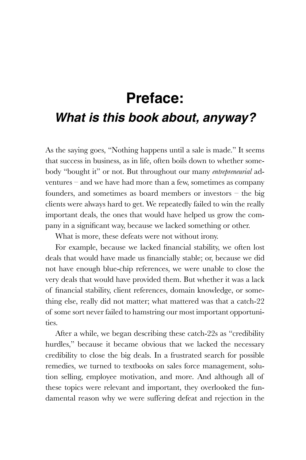# **Preface:** *What is this book about, anyway?*

As the saying goes, "Nothing happens until a sale is made." It seems that success in business, as in life, often boils down to whether somebody "bought it" or not. But throughout our many *entrepreneurial* adventures – and we have had more than a few, sometimes as company founders, and sometimes as board members or investors – the big clients were always hard to get. We repeatedly failed to win the really important deals, the ones that would have helped us grow the company in a significant way, because we lacked something or other.

What is more, these defeats were not without irony.

For example, because we lacked financial stability, we often lost deals that would have made us financially stable; or, because we did not have enough blue-chip references, we were unable to close the very deals that would have provided them. But whether it was a lack of financial stability, client references, domain knowledge, or something else, really did not matter; what mattered was that a catch-22 of some sort never failed to hamstring our most important opportunities.

After a while, we began describing these catch-22s as "credibility hurdles," because it became obvious that we lacked the necessary credibility to close the big deals. In a frustrated search for possible remedies, we turned to textbooks on sales force management, solution selling, employee motivation, and more. And although all of these topics were relevant and important, they overlooked the fundamental reason why we were suffering defeat and rejection in the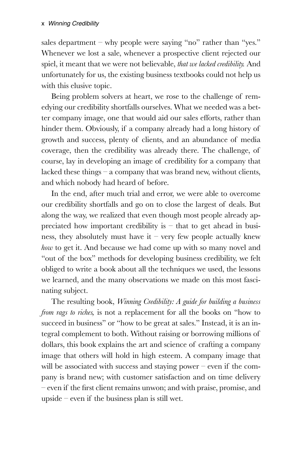sales department – why people were saying "no" rather than "yes." Whenever we lost a sale, whenever a prospective client rejected our spiel, it meant that we were not believable, *that we lacked credibility.* And unfortunately for us, the existing business textbooks could not help us with this elusive topic.

Being problem solvers at heart, we rose to the challenge of remedying our credibility shortfalls ourselves. What we needed was a better company image, one that would aid our sales efforts, rather than hinder them. Obviously, if a company already had a long history of growth and success, plenty of clients, and an abundance of media coverage, then the credibility was already there. The challenge, of course, lay in developing an image of credibility for a company that lacked these things – a company that was brand new, without clients, and which nobody had heard of before.

In the end, after much trial and error, we were able to overcome our credibility shortfalls and go on to close the largest of deals. But along the way, we realized that even though most people already appreciated how important credibility is  $-$  that to get ahead in business, they absolutely must have it – very few people actually knew *how* to get it. And because we had come up with so many novel and "out of the box" methods for developing business credibility, we felt obliged to write a book about all the techniques we used, the lessons we learned, and the many observations we made on this most fascinating subject.

The resulting book, *Winning Credibility: A guide for building a business from rags to riches,* is not a replacement for all the books on "how to succeed in business" or "how to be great at sales." Instead, it is an integral complement to both. Without raising or borrowing millions of dollars, this book explains the art and science of crafting a company image that others will hold in high esteem. A company image that will be associated with success and staying power – even if the company is brand new; with customer satisfaction and on time delivery – even if the first client remains unwon; and with praise, promise, and upside – even if the business plan is still wet.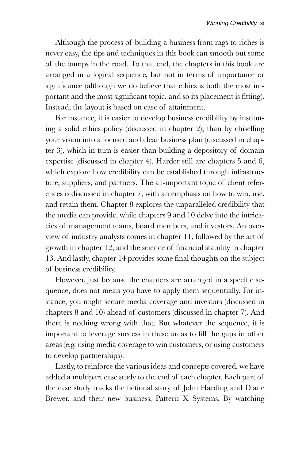Although the process of building a business from rags to riches is never easy, the tips and techniques in this book can smooth out some of the bumps in the road. To that end, the chapters in this book are arranged in a logical sequence, but not in terms of importance or significance (although we do believe that ethics is both the most important and the most significant topic, and so its placement is fitting). Instead, the layout is based on ease of attainment.

For instance, it is easier to develop business credibility by instituting a solid ethics policy (discussed in chapter 2), than by chiselling your vision into a focused and clear business plan (discussed in chapter 3), which in turn is easier than building a depository of domain expertise (discussed in chapter 4). Harder still are chapters 5 and 6, which explore how credibility can be established through infrastructure, suppliers, and partners. The all-important topic of client references is discussed in chapter 7, with an emphasis on how to win, use, and retain them. Chapter 8 explores the unparalleled credibility that the media can provide, while chapters 9 and 10 delve into the intricacies of management teams, board members, and investors. An overview of industry analysts comes in chapter 11, followed by the art of growth in chapter 12, and the science of financial stability in chapter 13. And lastly, chapter 14 provides some final thoughts on the subject of business credibility.

However, just because the chapters are arranged in a specific sequence, does not mean you have to apply them sequentially. For instance, you might secure media coverage and investors (discussed in chapters 8 and 10) ahead of customers (discussed in chapter 7). And there is nothing wrong with that. But whatever the sequence, it is important to leverage success in these areas to fill the gaps in other areas (e.g. using media coverage to win customers, or using customers to develop partnerships).

Lastly, to reinforce the various ideas and concepts covered, we have added a multipart case study to the end of each chapter. Each part of the case study tracks the fictional story of John Harding and Diane Brewer, and their new business, Pattern X Systems. By watching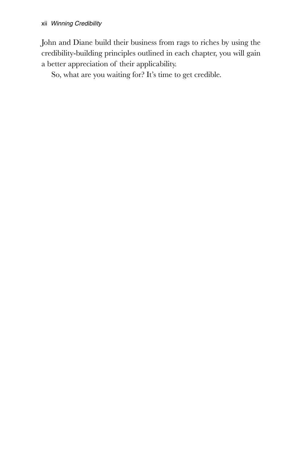John and Diane build their business from rags to riches by using the credibility-building principles outlined in each chapter, you will gain a better appreciation of their applicability.

So, what are you waiting for? It's time to get credible.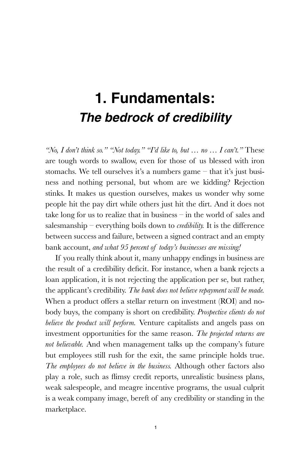## **1. Fundamentals:** *The bedrock of credibility*

*"No, I don't think so." "Not today." "I'd like to, but … no … I can't."* These are tough words to swallow, even for those of us blessed with iron stomachs. We tell ourselves it's a numbers game – that it's just business and nothing personal, but whom are we kidding? Rejection stinks. It makes us question ourselves, makes us wonder why some people hit the pay dirt while others just hit the dirt. And it does not take long for us to realize that in business – in the world of sales and salesmanship – everything boils down to *credibility.* It is the difference between success and failure, between a signed contract and an empty bank account, *and what 95 percent of today's businesses are missing!*

If you really think about it, many unhappy endings in business are the result of a credibility deficit. For instance, when a bank rejects a loan application, it is not rejecting the application per se, but rather, the applicant's credibility. *The bank does not believe repayment will be made.* When a product offers a stellar return on investment (ROI) and nobody buys, the company is short on credibility. *Prospective clients do not believe the product will perform.* Venture capitalists and angels pass on investment opportunities for the same reason. *The projected returns are not believable.* And when management talks up the company's future but employees still rush for the exit, the same principle holds true. *The employees do not believe in the business.* Although other factors also play a role, such as flimsy credit reports, unrealistic business plans, weak salespeople, and meagre incentive programs, the usual culprit is a weak company image, bereft of any credibility or standing in the marketplace.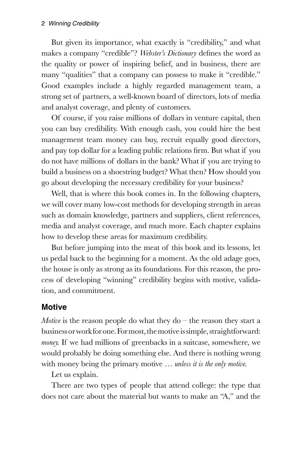#### *Winning Credibility*

But given its importance, what exactly is "credibility," and what makes a company "credible"? *Webster's Dictionary* defines the word as the quality or power of inspiring belief, and in business, there are many "qualities" that a company can possess to make it "credible." Good examples include a highly regarded management team, a strong set of partners, a well-known board of directors, lots of media and analyst coverage, and plenty of customers.

Of course, if you raise millions of dollars in venture capital, then you can buy credibility. With enough cash, you could hire the best management team money can buy, recruit equally good directors, and pay top dollar for a leading public relations firm. But what if you do not have millions of dollars in the bank? What if you are trying to build a business on a shoestring budget? What then? How should you go about developing the necessary credibility for your business?

Well, that is where this book comes in. In the following chapters, we will cover many low-cost methods for developing strength in areas such as domain knowledge, partners and suppliers, client references, media and analyst coverage, and much more. Each chapter explains how to develop these areas for maximum credibility.

But before jumping into the meat of this book and its lessons, let us pedal back to the beginning for a moment. As the old adage goes, the house is only as strong as its foundations. For this reason, the process of developing "winning" credibility begins with motive, validation, and commitment.

#### **Motive**

*Motive* is the reason people do what they do  $-$  the reason they start a business or work for one. For most, the motive is simple, straightforward: *money.* If we had millions of greenbacks in a suitcase, somewhere, we would probably be doing something else. And there is nothing wrong with money being the primary motive … *unless it is the only motive.* 

Let us explain.

There are two types of people that attend college: the type that does not care about the material but wants to make an "A," and the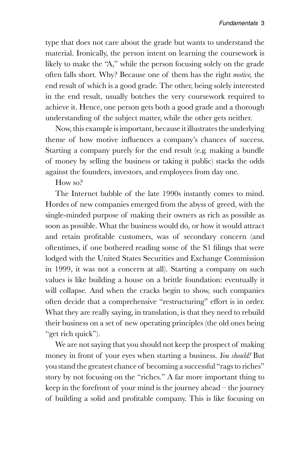type that does not care about the grade but wants to understand the material. Ironically, the person intent on learning the coursework is likely to make the "A," while the person focusing solely on the grade often falls short. Why? Because one of them has the right *motive,* the end result of which is a good grade. The other, being solely interested in the end result, usually botches the very coursework required to achieve it. Hence, one person gets both a good grade and a thorough understanding of the subject matter, while the other gets neither.

Now, this example is important, because it illustrates the underlying theme of how motive influences a company's chances of success. Starting a company purely for the end result (e.g. making a bundle of money by selling the business or taking it public) stacks the odds against the founders, investors, and employees from day one.

How so?

The Internet bubble of the late 1990s instantly comes to mind. Hordes of new companies emerged from the abyss of greed, with the single-minded purpose of making their owners as rich as possible as soon as possible. What the business would do, or how it would attract and retain profitable customers, was of secondary concern (and oftentimes, if one bothered reading some of the S1 filings that were lodged with the United States Securities and Exchange Commission in 1999, it was not a concern at all). Starting a company on such values is like building a house on a brittle foundation: eventually it will collapse. And when the cracks begin to show, such companies often decide that a comprehensive "restructuring" effort is in order. What they are really saying, in translation, is that they need to rebuild their business on a set of new operating principles (the old ones being "get rich quick").

We are not saying that you should not keep the prospect of making money in front of your eyes when starting a business. *You should!* But you stand the greatest chance of becoming a successful "rags to riches" story by not focusing on the "riches." A far more important thing to keep in the forefront of your mind is the journey ahead – the journey of building a solid and profitable company. This is like focusing on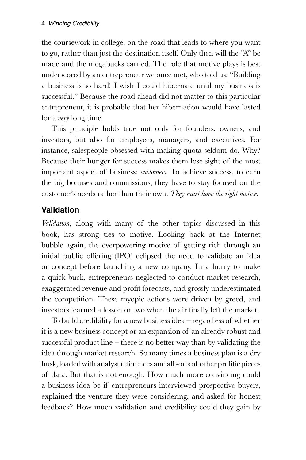the coursework in college, on the road that leads to where you want to go, rather than just the destination itself. Only then will the "A" be made and the megabucks earned. The role that motive plays is best underscored by an entrepreneur we once met, who told us: "Building a business is so hard! I wish I could hibernate until my business is successful." Because the road ahead did not matter to this particular entrepreneur, it is probable that her hibernation would have lasted for a *very* long time.

This principle holds true not only for founders, owners, and investors, but also for employees, managers, and executives. For instance, salespeople obsessed with making quota seldom do. Why? Because their hunger for success makes them lose sight of the most important aspect of business: *customers.* To achieve success, to earn the big bonuses and commissions, they have to stay focused on the customer's needs rather than their own. *They must have the right motive.*

## **Validation**

*Validation,* along with many of the other topics discussed in this book, has strong ties to motive. Looking back at the Internet bubble again, the overpowering motive of getting rich through an initial public offering (IPO) eclipsed the need to validate an idea or concept before launching a new company. In a hurry to make a quick buck, entrepreneurs neglected to conduct market research, exaggerated revenue and profit forecasts, and grossly underestimated the competition. These myopic actions were driven by greed, and investors learned a lesson or two when the air finally left the market.

To build credibility for a new business idea – regardless of whether it is a new business concept or an expansion of an already robust and successful product line – there is no better way than by validating the idea through market research. So many times a business plan is a dry husk, loaded with analyst references and all sorts of other prolific pieces of data. But that is not enough. How much more convincing could a business idea be if entrepreneurs interviewed prospective buyers, explained the venture they were considering, and asked for honest feedback? How much validation and credibility could they gain by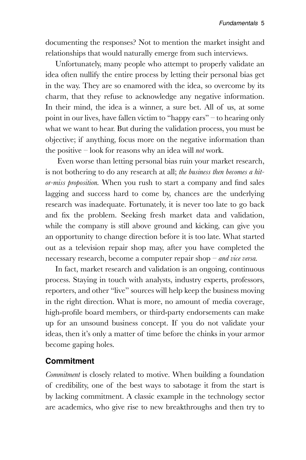documenting the responses? Not to mention the market insight and relationships that would naturally emerge from such interviews.

Unfortunately, many people who attempt to properly validate an idea often nullify the entire process by letting their personal bias get in the way. They are so enamored with the idea, so overcome by its charm, that they refuse to acknowledge any negative information. In their mind, the idea is a winner, a sure bet. All of us, at some point in our lives, have fallen victim to "happy ears" – to hearing only what we want to hear. But during the validation process, you must be objective; if anything, focus more on the negative information than the positive – look for reasons why an idea will *not* work.

 Even worse than letting personal bias ruin your market research, is not bothering to do any research at all; *the business then becomes a hitor-miss proposition.* When you rush to start a company and find sales lagging and success hard to come by, chances are the underlying research was inadequate. Fortunately, it is never too late to go back and fix the problem. Seeking fresh market data and validation, while the company is still above ground and kicking, can give you an opportunity to change direction before it is too late. What started out as a television repair shop may, after you have completed the necessary research, become a computer repair shop – *and vice versa.*

In fact, market research and validation is an ongoing, continuous process. Staying in touch with analysts, industry experts, professors, reporters, and other "live" sources will help keep the business moving in the right direction. What is more, no amount of media coverage, high-profile board members, or third-party endorsements can make up for an unsound business concept. If you do not validate your ideas, then it's only a matter of time before the chinks in your armor become gaping holes.

### **Commitment**

*Commitment* is closely related to motive. When building a foundation of credibility, one of the best ways to sabotage it from the start is by lacking commitment. A classic example in the technology sector are academics, who give rise to new breakthroughs and then try to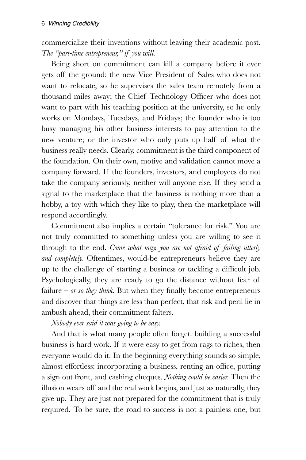commercialize their inventions without leaving their academic post. *The "part-time entrepreneur," if you will.* 

Being short on commitment can kill a company before it ever gets off the ground: the new Vice President of Sales who does not want to relocate, so he supervises the sales team remotely from a thousand miles away; the Chief Technology Officer who does not want to part with his teaching position at the university, so he only works on Mondays, Tuesdays, and Fridays; the founder who is too busy managing his other business interests to pay attention to the new venture; or the investor who only puts up half of what the business really needs. Clearly, commitment is the third component of the foundation. On their own, motive and validation cannot move a company forward. If the founders, investors, and employees do not take the company seriously, neither will anyone else. If they send a signal to the marketplace that the business is nothing more than a hobby, a toy with which they like to play, then the marketplace will respond accordingly.

Commitment also implies a certain "tolerance for risk." You are not truly committed to something unless you are willing to see it through to the end. *Come what may, you are not afraid of failing utterly and completely.* Oftentimes, would-be entrepreneurs believe they are up to the challenge of starting a business or tackling a difficult job. Psychologically, they are ready to go the distance without fear of failure –  $or$  so they think. But when they finally become entrepreneurs and discover that things are less than perfect, that risk and peril lie in ambush ahead, their commitment falters.

*Nobody ever said it was going to be easy.*

And that is what many people often forget: building a successful business is hard work. If it were easy to get from rags to riches, then everyone would do it. In the beginning everything sounds so simple, almost effortless: incorporating a business, renting an office, putting a sign out front, and cashing cheques. *Nothing could be easier.* Then the illusion wears off and the real work begins, and just as naturally, they give up. They are just not prepared for the commitment that is truly required. To be sure, the road to success is not a painless one, but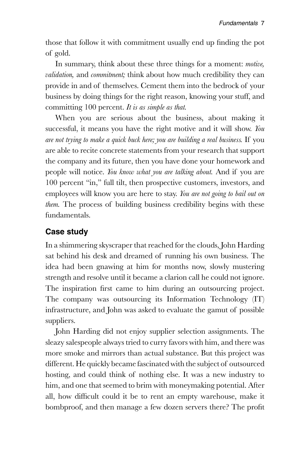those that follow it with commitment usually end up finding the pot of gold.

In summary, think about these three things for a moment: *motive, validation,* and *commitment;* think about how much credibility they can provide in and of themselves. Cement them into the bedrock of your business by doing things for the right reason, knowing your stuff, and committing 100 percent. *It is as simple as that.*

When you are serious about the business, about making it successful, it means you have the right motive and it will show. *You are not trying to make a quick buck here; you are building a real business.* If you are able to recite concrete statements from your research that support the company and its future, then you have done your homework and people will notice. *You know what you are talking about.* And if you are 100 percent "in," full tilt, then prospective customers, investors, and employees will know you are here to stay. *You are not going to bail out on them.* The process of building business credibility begins with these fundamentals.

## **Case study**

In a shimmering skyscraper that reached for the clouds, John Harding sat behind his desk and dreamed of running his own business. The idea had been gnawing at him for months now, slowly mustering strength and resolve until it became a clarion call he could not ignore. The inspiration first came to him during an outsourcing project. The company was outsourcing its Information Technology (IT) infrastructure, and John was asked to evaluate the gamut of possible suppliers.

John Harding did not enjoy supplier selection assignments. The sleazy salespeople always tried to curry favors with him, and there was more smoke and mirrors than actual substance. But this project was different. He quickly became fascinated with the subject of outsourced hosting, and could think of nothing else. It was a new industry to him, and one that seemed to brim with moneymaking potential. After all, how difficult could it be to rent an empty warehouse, make it bombproof, and then manage a few dozen servers there? The profit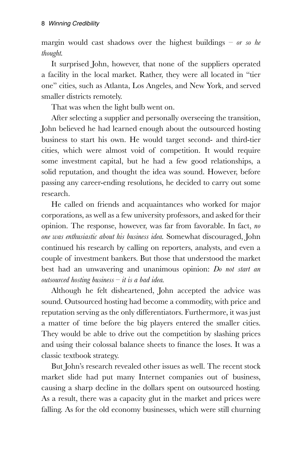margin would cast shadows over the highest buildings – *or so he thought.* 

It surprised John, however, that none of the suppliers operated a facility in the local market. Rather, they were all located in "tier one" cities, such as Atlanta, Los Angeles, and New York, and served smaller districts remotely.

That was when the light bulb went on.

After selecting a supplier and personally overseeing the transition, John believed he had learned enough about the outsourced hosting business to start his own. He would target second- and third-tier cities, which were almost void of competition. It would require some investment capital, but he had a few good relationships, a solid reputation, and thought the idea was sound. However, before passing any career-ending resolutions, he decided to carry out some research.

He called on friends and acquaintances who worked for major corporations, as well as a few university professors, and asked for their opinion. The response, however, was far from favorable. In fact, *no one was enthusiastic about his business idea.* Somewhat discouraged, John continued his research by calling on reporters, analysts, and even a couple of investment bankers. But those that understood the market best had an unwavering and unanimous opinion: *Do not start an outsourced hosting business – it is a bad idea.*

Although he felt disheartened, John accepted the advice was sound. Outsourced hosting had become a commodity, with price and reputation serving as the only differentiators. Furthermore, it was just a matter of time before the big players entered the smaller cities. They would be able to drive out the competition by slashing prices and using their colossal balance sheets to finance the loses. It was a classic textbook strategy.

But John's research revealed other issues as well. The recent stock market slide had put many Internet companies out of business, causing a sharp decline in the dollars spent on outsourced hosting. As a result, there was a capacity glut in the market and prices were falling. As for the old economy businesses, which were still churning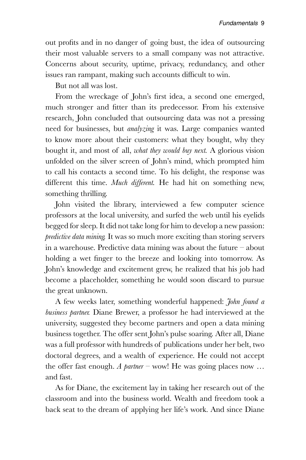out profits and in no danger of going bust, the idea of outsourcing their most valuable servers to a small company was not attractive. Concerns about security, uptime, privacy, redundancy, and other issues ran rampant, making such accounts difficult to win.

But not all was lost.

From the wreckage of John's first idea, a second one emerged, much stronger and fitter than its predecessor. From his extensive research, John concluded that outsourcing data was not a pressing need for businesses, but *analyzing* it was. Large companies wanted to know more about their customers: what they bought, why they bought it, and most of all, *what they would buy next.* A glorious vision unfolded on the silver screen of John's mind, which prompted him to call his contacts a second time. To his delight, the response was different this time. *Much different.* He had hit on something new, something thrilling.

John visited the library, interviewed a few computer science professors at the local university, and surfed the web until his eyelids begged for sleep. It did not take long for him to develop a new passion: *predictive data mining.* It was so much more exciting than storing servers in a warehouse. Predictive data mining was about the future – about holding a wet finger to the breeze and looking into tomorrow. As John's knowledge and excitement grew, he realized that his job had become a placeholder, something he would soon discard to pursue the great unknown.

A few weeks later, something wonderful happened: *John found a business partner.* Diane Brewer, a professor he had interviewed at the university, suggested they become partners and open a data mining business together. The offer sent John's pulse soaring. After all, Diane was a full professor with hundreds of publications under her belt, two doctoral degrees, and a wealth of experience. He could not accept the offer fast enough. *A partner* – wow! He was going places now … and fast.

As for Diane, the excitement lay in taking her research out of the classroom and into the business world. Wealth and freedom took a back seat to the dream of applying her life's work. And since Diane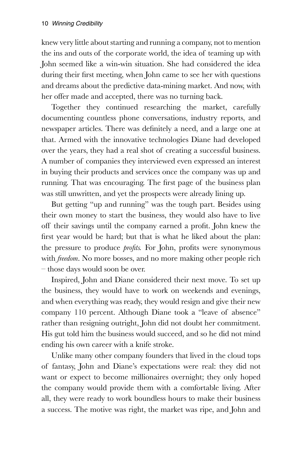knew very little about starting and running a company, not to mention the ins and outs of the corporate world, the idea of teaming up with John seemed like a win-win situation. She had considered the idea during their first meeting, when John came to see her with questions and dreams about the predictive data-mining market. And now, with her offer made and accepted, there was no turning back.

Together they continued researching the market, carefully documenting countless phone conversations, industry reports, and newspaper articles. There was definitely a need, and a large one at that. Armed with the innovative technologies Diane had developed over the years, they had a real shot of creating a successful business. A number of companies they interviewed even expressed an interest in buying their products and services once the company was up and running. That was encouraging. The first page of the business plan was still unwritten, and yet the prospects were already lining up.

But getting "up and running" was the tough part. Besides using their own money to start the business, they would also have to live off their savings until the company earned a profit. John knew the first year would be hard; but that is what he liked about the plan: the pressure to produce *profits.* For John, profits were synonymous with *freedom*. No more bosses, and no more making other people rich – those days would soon be over.

Inspired, John and Diane considered their next move. To set up the business, they would have to work on weekends and evenings, and when everything was ready, they would resign and give their new company 110 percent. Although Diane took a "leave of absence" rather than resigning outright, John did not doubt her commitment. His gut told him the business would succeed, and so he did not mind ending his own career with a knife stroke.

Unlike many other company founders that lived in the cloud tops of fantasy, John and Diane's expectations were real: they did not want or expect to become millionaires overnight; they only hoped the company would provide them with a comfortable living. After all, they were ready to work boundless hours to make their business a success. The motive was right, the market was ripe, and John and